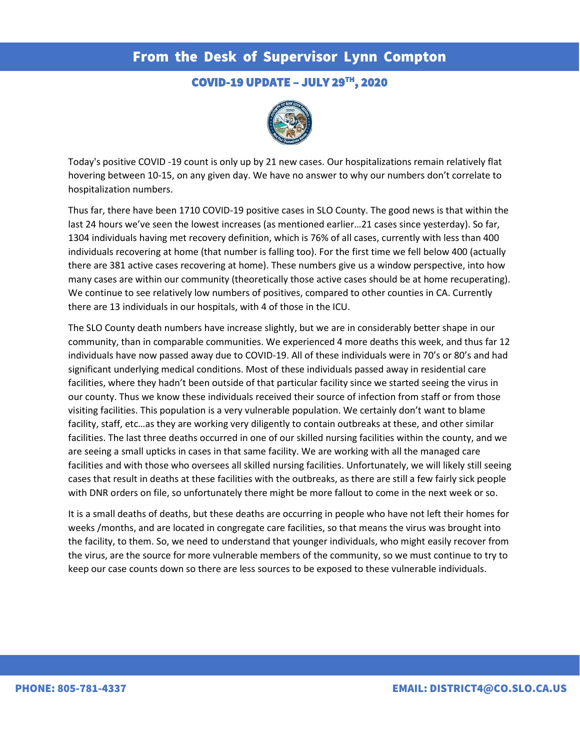# From the Desk of Supervisor Lynn Compton

### COVID-19 UPDATE – JULY 29TH, 2020



Today's positive COVID -19 count is only up by 21 new cases. Our hospitalizations remain relatively flat hovering between 10-15, on any given day. We have no answer to why our numbers don't correlate to hospitalization numbers.

Thus far, there have been 1710 COVID-19 positive cases in SLO County. The good news is that within the last 24 hours we've seen the lowest increases (as mentioned earlier…21 cases since yesterday). So far, 1304 individuals having met recovery definition, which is 76% of all cases, currently with less than 400 individuals recovering at home (that number is falling too). For the first time we fell below 400 (actually there are 381 active cases recovering at home). These numbers give us a window perspective, into how many cases are within our community (theoretically those active cases should be at home recuperating). We continue to see relatively low numbers of positives, compared to other counties in CA. Currently there are 13 individuals in our hospitals, with 4 of those in the ICU.

The SLO County death numbers have increase slightly, but we are in considerably better shape in our community, than in comparable communities. We experienced 4 more deaths this week, and thus far 12 individuals have now passed away due to COVID-19. All of these individuals were in 70's or 80's and had significant underlying medical conditions. Most of these individuals passed away in residential care facilities, where they hadn't been outside of that particular facility since we started seeing the virus in our county. Thus we know these individuals received their source of infection from staff or from those visiting facilities. This population is a very vulnerable population. We certainly don't want to blame facility, staff, etc…as they are working very diligently to contain outbreaks at these, and other similar facilities. The last three deaths occurred in one of our skilled nursing facilities within the county, and we are seeing a small upticks in cases in that same facility. We are working with all the managed care facilities and with those who oversees all skilled nursing facilities. Unfortunately, we will likely still seeing cases that result in deaths at these facilities with the outbreaks, as there are still a few fairly sick people with DNR orders on file, so unfortunately there might be more fallout to come in the next week or so.

It is a small deaths of deaths, but these deaths are occurring in people who have not left their homes for weeks /months, and are located in congregate care facilities, so that means the virus was brought into the facility, to them. So, we need to understand that younger individuals, who might easily recover from the virus, are the source for more vulnerable members of the community, so we must continue to try to keep our case counts down so there are less sources to be exposed to these vulnerable individuals.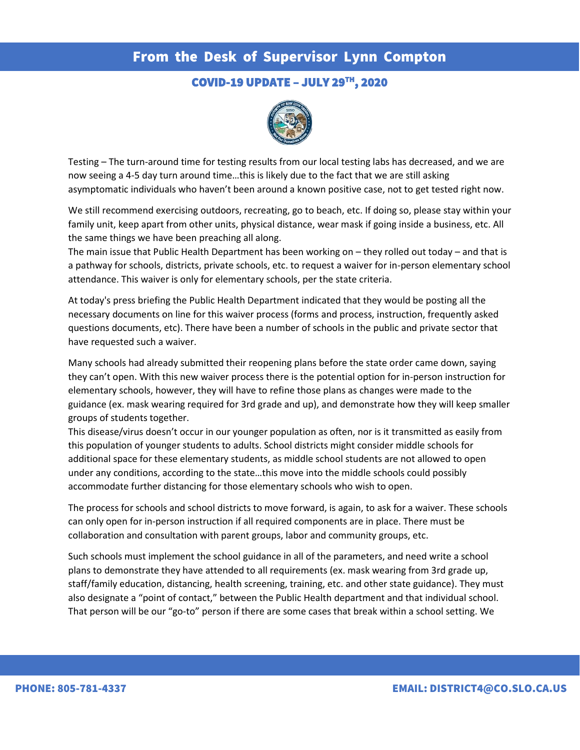# From the Desk of Supervisor Lynn Compton

### COVID-19 UPDATE – JULY 29TH, 2020



Testing – The turn-around time for testing results from our local testing labs has decreased, and we are now seeing a 4-5 day turn around time…this is likely due to the fact that we are still asking asymptomatic individuals who haven't been around a known positive case, not to get tested right now.

We still recommend exercising outdoors, recreating, go to beach, etc. If doing so, please stay within your family unit, keep apart from other units, physical distance, wear mask if going inside a business, etc. All the same things we have been preaching all along.

The main issue that Public Health Department has been working on – they rolled out today – and that is a pathway for schools, districts, private schools, etc. to request a waiver for in-person elementary school attendance. This waiver is only for elementary schools, per the state criteria.

At today's press briefing the Public Health Department indicated that they would be posting all the necessary documents on line for this waiver process (forms and process, instruction, frequently asked questions documents, etc). There have been a number of schools in the public and private sector that have requested such a waiver.

Many schools had already submitted their reopening plans before the state order came down, saying they can't open. With this new waiver process there is the potential option for in-person instruction for elementary schools, however, they will have to refine those plans as changes were made to the guidance (ex. mask wearing required for 3rd grade and up), and demonstrate how they will keep smaller groups of students together.

This disease/virus doesn't occur in our younger population as often, nor is it transmitted as easily from this population of younger students to adults. School districts might consider middle schools for additional space for these elementary students, as middle school students are not allowed to open under any conditions, according to the state…this move into the middle schools could possibly accommodate further distancing for those elementary schools who wish to open.

The process for schools and school districts to move forward, is again, to ask for a waiver. These schools can only open for in-person instruction if all required components are in place. There must be collaboration and consultation with parent groups, labor and community groups, etc.

Such schools must implement the school guidance in all of the parameters, and need write a school plans to demonstrate they have attended to all requirements (ex. mask wearing from 3rd grade up, staff/family education, distancing, health screening, training, etc. and other state guidance). They must also designate a "point of contact," between the Public Health department and that individual school. That person will be our "go-to" person if there are some cases that break within a school setting. We